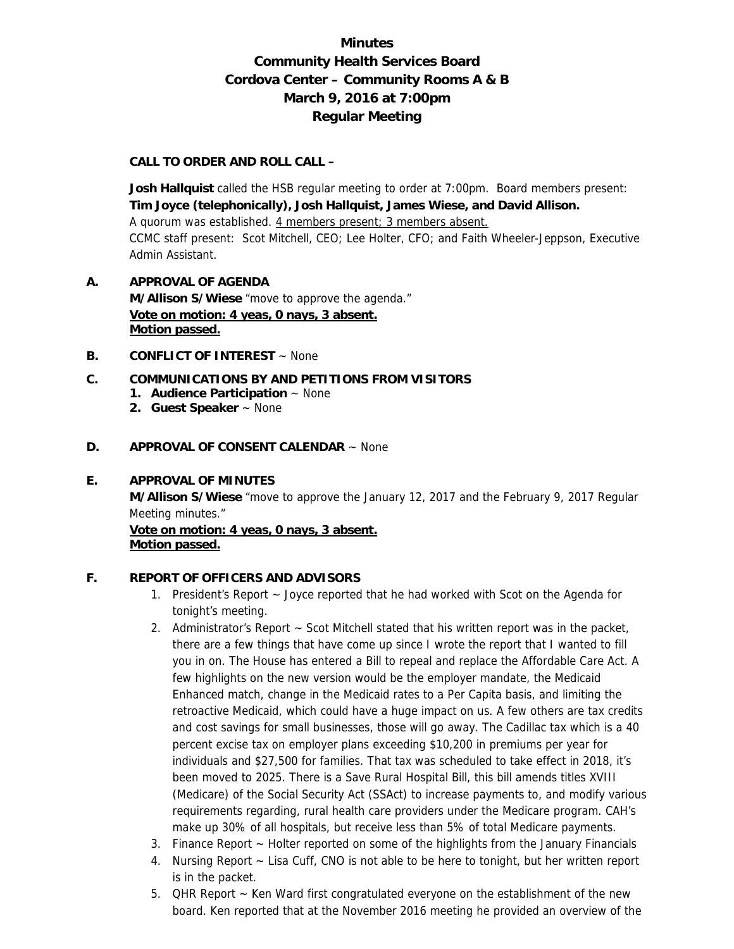# **Minutes Community Health Services Board Cordova Center – Community Rooms A & B March 9, 2016 at 7:00pm Regular Meeting**

#### **CALL TO ORDER AND ROLL CALL –**

**Josh Hallquist** called the HSB regular meeting to order at 7:00pm. Board members present: **Tim Joyce (telephonically), Josh Hallquist, James Wiese, and David Allison.**  A quorum was established. 4 members present; 3 members absent. CCMC staff present: Scot Mitchell, CEO; Lee Holter, CFO; and Faith Wheeler-Jeppson, Executive Admin Assistant.

## **A. APPROVAL OF AGENDA M/Allison S/Wiese** "move to approve the agenda." **Vote on motion: 4 yeas, 0 nays, 3 absent. Motion passed.**

**B. CONFLICT OF INTEREST** ~ None

#### **C. COMMUNICATIONS BY AND PETITIONS FROM VISITORS**

- **1. Audience Participation** ~ None
- **2. Guest Speaker** ~ None

#### **D. APPROVAL OF CONSENT CALENDAR** ~ None

## **E. APPROVAL OF MINUTES**

**M/Allison S/Wiese** "move to approve the January 12, 2017 and the February 9, 2017 Regular Meeting minutes."

**Vote on motion: 4 yeas, 0 nays, 3 absent. Motion passed.**

### **F. REPORT OF OFFICERS AND ADVISORS**

- 1. President's Report ~ Joyce reported that he had worked with Scot on the Agenda for tonight's meeting.
- 2. Administrator's Report  $\sim$  Scot Mitchell stated that his written report was in the packet, there are a few things that have come up since I wrote the report that I wanted to fill you in on. The House has entered a Bill to repeal and replace the Affordable Care Act. A few highlights on the new version would be the employer mandate, the Medicaid Enhanced match, change in the Medicaid rates to a Per Capita basis, and limiting the retroactive Medicaid, which could have a huge impact on us. A few others are tax credits and cost savings for small businesses, those will go away. The Cadillac tax which is a 40 percent excise tax on employer plans exceeding \$10,200 in premiums per year for individuals and \$27,500 for families. That tax was scheduled to take effect in 2018, it's been moved to 2025. There is a Save Rural Hospital Bill, this bill amends titles XVIII (Medicare) of the Social Security Act (SSAct) to increase payments to, and modify various requirements regarding, rural health care providers under the Medicare program. CAH's make up 30% of all hospitals, but receive less than 5% of total Medicare payments.
- 3. Finance Report ~ Holter reported on some of the highlights from the January Financials
- 4. Nursing Report ~ Lisa Cuff, CNO is not able to be here to tonight, but her written report is in the packet.
- 5. QHR Report ~ Ken Ward first congratulated everyone on the establishment of the new board. Ken reported that at the November 2016 meeting he provided an overview of the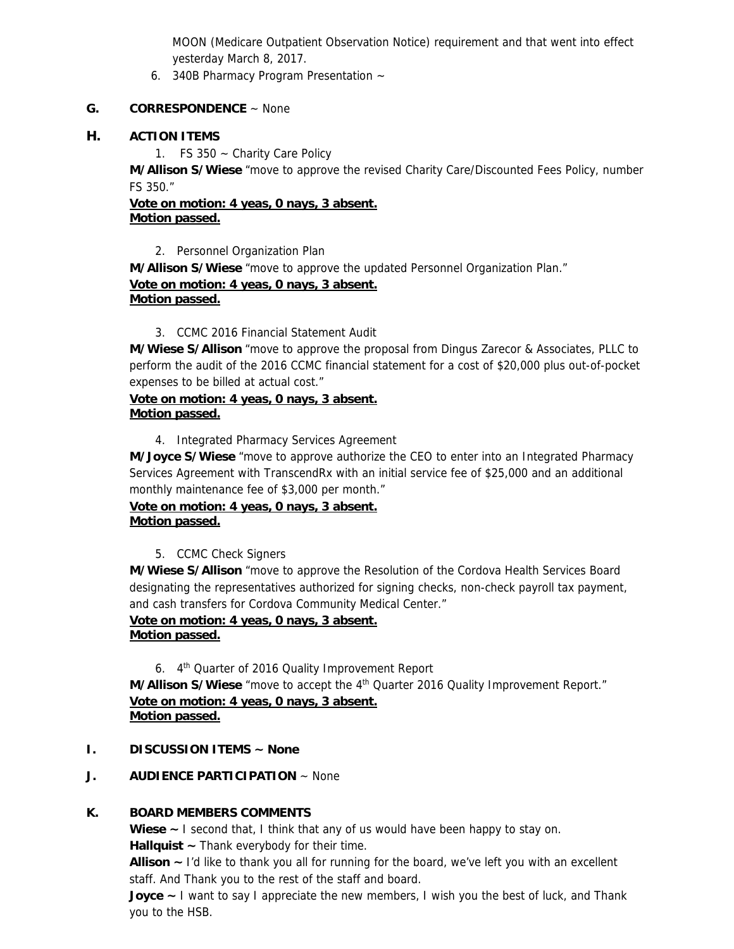MOON (Medicare Outpatient Observation Notice) requirement and that went into effect yesterday March 8, 2017.

6. 340B Pharmacy Program Presentation ~

### **G. CORRESPONDENCE** ~ None

## **H. ACTION ITEMS**

1. FS 350 ~ Charity Care Policy

**M/Allison S/Wiese** "move to approve the revised Charity Care/Discounted Fees Policy, number FS 350."

**Vote on motion: 4 yeas, 0 nays, 3 absent. Motion passed.** 

2. Personnel Organization Plan

**M/Allison S/Wiese** "move to approve the updated Personnel Organization Plan." **Vote on motion: 4 yeas, 0 nays, 3 absent. Motion passed.**

3. CCMC 2016 Financial Statement Audit

**M/Wiese S/Allison** "move to approve the proposal from Dingus Zarecor & Associates, PLLC to perform the audit of the 2016 CCMC financial statement for a cost of \$20,000 plus out-of-pocket expenses to be billed at actual cost."

### **Vote on motion: 4 yeas, 0 nays, 3 absent. Motion passed.**

4. Integrated Pharmacy Services Agreement

**M/Joyce S/Wiese** "move to approve authorize the CEO to enter into an Integrated Pharmacy Services Agreement with TranscendRx with an initial service fee of \$25,000 and an additional monthly maintenance fee of \$3,000 per month."

**Vote on motion: 4 yeas, 0 nays, 3 absent. Motion passed.** 

## 5. CCMC Check Signers

**M/Wiese S/Allison** "move to approve the Resolution of the Cordova Health Services Board designating the representatives authorized for signing checks, non-check payroll tax payment, and cash transfers for Cordova Community Medical Center."

# **Vote on motion: 4 yeas, 0 nays, 3 absent. Motion passed.**

6. 4th Quarter of 2016 Quality Improvement Report **M/Allison S/Wiese** "move to accept the 4<sup>th</sup> Quarter 2016 Quality Improvement Report." **Vote on motion: 4 yeas, 0 nays, 3 absent. Motion passed.** 

- **I. DISCUSSION ITEMS ~ None**
- **J. AUDIENCE PARTICIPATION** ~ None

## **K. BOARD MEMBERS COMMENTS**

**Wiese ~** I second that, I think that any of us would have been happy to stay on. **Hallquist ~** Thank everybody for their time.

**Allison ~** I'd like to thank you all for running for the board, we've left you with an excellent staff. And Thank you to the rest of the staff and board.

**Joyce ~** I want to say I appreciate the new members, I wish you the best of luck, and Thank you to the HSB.